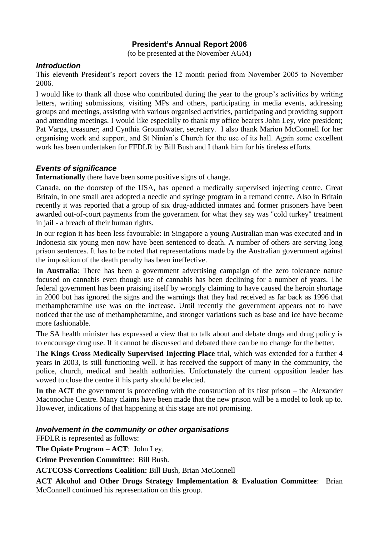## **President's Annual Report 2006**

(to be presented at the November AGM)

#### *Introduction*

This eleventh President's report covers the 12 month period from November 2005 to November 2006.

I would like to thank all those who contributed during the year to the group's activities by writing letters, writing submissions, visiting MPs and others, participating in media events, addressing groups and meetings, assisting with various organised activities, participating and providing support and attending meetings. I would like especially to thank my office bearers John Ley, vice president; Pat Varga, treasurer; and Cynthia Groundwater, secretary. I also thank Marion McConnell for her organising work and support, and St Ninian's Church for the use of its hall. Again some excellent work has been undertaken for FFDLR by Bill Bush and I thank him for his tireless efforts.

#### *Events of significance*

**Internationally** there have been some positive signs of change.

Canada, on the doorstep of the USA, has opened a medically supervised injecting centre. Great Britain, in one small area adopted a needle and syringe program in a remand centre. Also in Britain recently it was reported that a group of six drug-addicted inmates and former prisoners have been awarded out-of-court payments from the government for what they say was "cold turkey" treatment in jail - a breach of their human rights.

In our region it has been less favourable: in Singapore a young Australian man was executed and in Indonesia six young men now have been sentenced to death. A number of others are serving long prison sentences. It has to be noted that representations made by the Australian government against the imposition of the death penalty has been ineffective.

**In Australia**: There has been a government advertising campaign of the zero tolerance nature focused on cannabis even though use of cannabis has been declining for a number of years. The federal government has been praising itself by wrongly claiming to have caused the heroin shortage in 2000 but has ignored the signs and the warnings that they had received as far back as 1996 that methamphetamine use was on the increase. Until recently the government appears not to have noticed that the use of methamphetamine, and stronger variations such as base and ice have become more fashionable.

The SA health minister has expressed a view that to talk about and debate drugs and drug policy is to encourage drug use. If it cannot be discussed and debated there can be no change for the better.

T**he Kings Cross Medically Supervised Injecting Place** trial, which was extended for a further 4 years in 2003, is still functioning well. It has received the support of many in the community, the police, church, medical and health authorities. Unfortunately the current opposition leader has vowed to close the centre if his party should be elected.

In the ACT the government is proceeding with the construction of its first prison – the Alexander Maconochie Centre. Many claims have been made that the new prison will be a model to look up to. However, indications of that happening at this stage are not promising.

#### *Involvement in the community or other organisations*

FFDLR is represented as follows:

**The Opiate Program – ACT**: John Ley.

**Crime Prevention Committee**: Bill Bush.

**ACTCOSS Corrections Coalition:** Bill Bush, Brian McConnell

**ACT Alcohol and Other Drugs Strategy Implementation & Evaluation Committee**: Brian McConnell continued his representation on this group.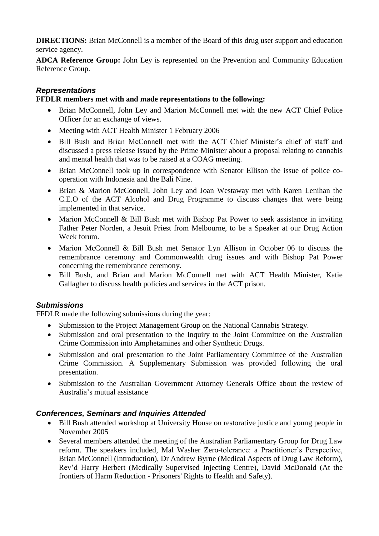**DIRECTIONS:** Brian McConnell is a member of the Board of this drug user support and education service agency.

**ADCA Reference Group:** John Ley is represented on the Prevention and Community Education Reference Group.

## *Representations*

## **FFDLR members met with and made representations to the following:**

- Brian McConnell, John Ley and Marion McConnell met with the new ACT Chief Police Officer for an exchange of views.
- Meeting with ACT Health Minister 1 February 2006
- Bill Bush and Brian McConnell met with the ACT Chief Minister's chief of staff and discussed a press release issued by the Prime Minister about a proposal relating to cannabis and mental health that was to be raised at a COAG meeting.
- Brian McConnell took up in correspondence with Senator Ellison the issue of police cooperation with Indonesia and the Bali Nine.
- Brian & Marion McConnell, John Ley and Joan Westaway met with Karen Lenihan the C.E.O of the ACT Alcohol and Drug Programme to discuss changes that were being implemented in that service.
- Marion McConnell & Bill Bush met with Bishop Pat Power to seek assistance in inviting Father Peter Norden, a Jesuit Priest from Melbourne, to be a Speaker at our Drug Action Week forum.
- Marion McConnell & Bill Bush met Senator Lyn Allison in October 06 to discuss the remembrance ceremony and Commonwealth drug issues and with Bishop Pat Power concerning the remembrance ceremony.
- Bill Bush, and Brian and Marion McConnell met with ACT Health Minister, Katie Gallagher to discuss health policies and services in the ACT prison.

#### *Submissions*

FFDLR made the following submissions during the year:

- Submission to the Project Management Group on the National Cannabis Strategy.
- Submission and oral presentation to the Inquiry to the Joint Committee on the Australian Crime Commission into Amphetamines and other Synthetic Drugs.
- Submission and oral presentation to the Joint Parliamentary Committee of the Australian Crime Commission. A Supplementary Submission was provided following the oral presentation.
- Submission to the Australian Government Attorney Generals Office about the review of Australia's mutual assistance

#### *Conferences, Seminars and Inquiries Attended*

- Bill Bush attended workshop at University House on restorative justice and young people in November 2005
- Several members attended the meeting of the Australian Parliamentary Group for Drug Law reform. The speakers included, Mal Washer Zero-tolerance: a Practitioner's Perspective, Brian McConnell (Introduction), Dr Andrew Byrne [\(Medical Aspects of Drug Law Reform\)](file:///C:/Documents%20and%20SettingsBrianMy%20DocumentsMy%20Websadlrfparl2205.ppt), Rev'd Harry Herbert [\(Medically Supervised Injecting Centre\)](file:///C:/Documents%20and%20SettingsBrianMy%20DocumentsMy%20WebsadlrfHarryHerbertonMSIG.pdf), David McDonald [\(At the](file:///C:/Documents%20and%20SettingsBrianMy%20DocumentsMy%20WebsadlrfDMcD_Aust_Parliamentary_Gp_02Dec05.ppt)  frontiers of Harm Reduction - [Prisoners' Rights to Health and Safety\).](file:///C:/Documents%20and%20SettingsBrianMy%20DocumentsMy%20WebsadlrfDMcD_Aust_Parliamentary_Gp_02Dec05.ppt)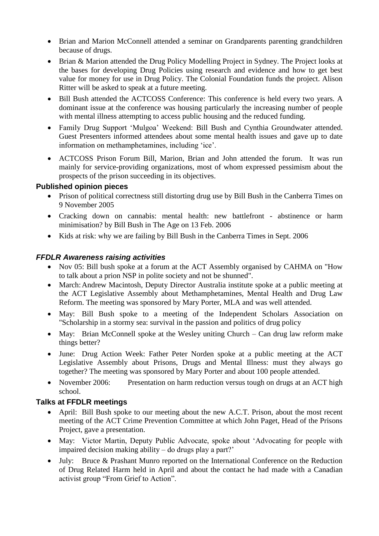- Brian and Marion McConnell attended a seminar on Grandparents parenting grandchildren because of drugs.
- Brian & Marion attended the Drug Policy Modelling Project in Sydney. The Project looks at the bases for developing Drug Policies using research and evidence and how to get best value for money for use in Drug Policy. The Colonial Foundation funds the project. Alison Ritter will be asked to speak at a future meeting.
- Bill Bush attended the ACTCOSS Conference: This conference is held every two years. A dominant issue at the conference was housing particularly the increasing number of people with mental illness attempting to access public housing and the reduced funding.
- Family Drug Support 'Mulgoa' Weekend: Bill Bush and Cynthia Groundwater attended. Guest Presenters informed attendees about some mental health issues and gave up to date information on methamphetamines, including 'ice'.
- ACTCOSS Prison Forum Bill, Marion, Brian and John attended the forum. It was run mainly for service-providing organizations, most of whom expressed pessimism about the prospects of the prison succeeding in its objectives.

## **Published opinion pieces**

- Prison of political correctness still distorting drug use by Bill Bush in the Canberra Times on 9 November 2005
- Cracking down on cannabis: mental health: new battlefront abstinence or harm minimisation? by Bill Bush in The Age on 13 Feb. 2006
- Kids at risk: why we are failing by Bill Bush in the Canberra Times in Sept. 2006

## *FFDLR Awareness raising activities*

- Nov 05: Bill bush spoke at a forum at the ACT Assembly organised by CAHMA on "How" to talk about a prion NSP in polite society and not be shunned".
- March: Andrew Macintosh, Deputy Director Australia institute spoke at a public meeting at the ACT Legislative Assembly about Methamphetamines, Mental Health and Drug Law Reform. The meeting was sponsored by Mary Porter, MLA and was well attended.
- May: Bill Bush spoke to a meeting of the Independent Scholars Association on "Scholarship in a stormy sea: survival in the passion and politics of drug policy
- May: Brian McConnell spoke at the Wesley uniting Church Can drug law reform make things better?
- June: Drug Action Week: Father Peter Norden spoke at a public meeting at the ACT Legislative Assembly about Prisons, Drugs and Mental Illness: must they always go together? The meeting was sponsored by Mary Porter and about 100 people attended.
- November 2006: Presentation on harm reduction versus tough on drugs at an ACT high school.

#### **Talks at FFDLR meetings**

- April: Bill Bush spoke to our meeting about the new A.C.T. Prison, about the most recent meeting of the ACT Crime Prevention Committee at which John Paget, Head of the Prisons Project, gave a presentation.
- May: Victor Martin, Deputy Public Advocate, spoke about 'Advocating for people with impaired decision making ability – do drugs play a part?'
- July: Bruce & Prashant Munro reported on the International Conference on the Reduction of Drug Related Harm held in April and about the contact he had made with a Canadian activist group "From Grief to Action".